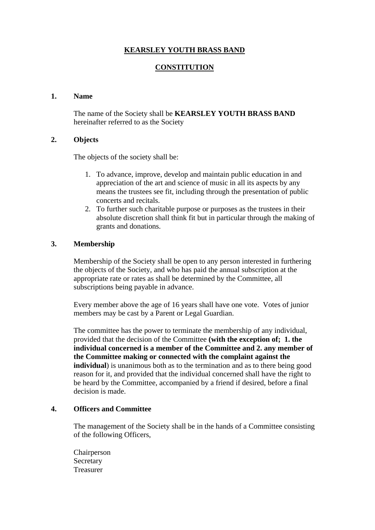# **KEARSLEY YOUTH BRASS BAND**

## **CONSTITUTION**

#### **1. Name**

The name of the Society shall be **KEARSLEY YOUTH BRASS BAND** hereinafter referred to as the Society

#### **2. Objects**

The objects of the society shall be:

- 1. To advance, improve, develop and maintain public education in and appreciation of the art and science of music in all its aspects by any means the trustees see fit, including through the presentation of public concerts and recitals.
- 2. To further such charitable purpose or purposes as the trustees in their absolute discretion shall think fit but in particular through the making of grants and donations.

## **3. Membership**

Membership of the Society shall be open to any person interested in furthering the objects of the Society, and who has paid the annual subscription at the appropriate rate or rates as shall be determined by the Committee, all subscriptions being payable in advance.

Every member above the age of 16 years shall have one vote. Votes of junior members may be cast by a Parent or Legal Guardian.

The committee has the power to terminate the membership of any individual, provided that the decision of the Committee **(with the exception of; 1. the individual concerned is a member of the Committee and 2. any member of the Committee making or connected with the complaint against the individual**) is unanimous both as to the termination and as to there being good reason for it, and provided that the individual concerned shall have the right to be heard by the Committee, accompanied by a friend if desired, before a final decision is made.

#### **4. Officers and Committee**

The management of the Society shall be in the hands of a Committee consisting of the following Officers,

Chairperson Secretary Treasurer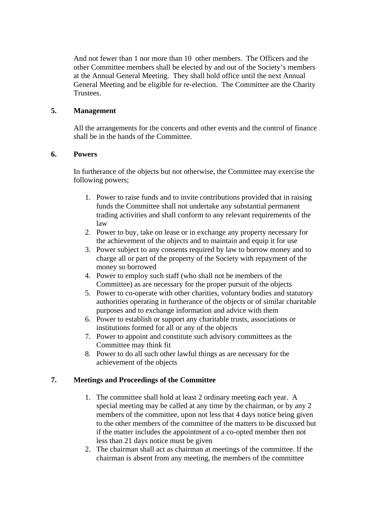And not fewer than 1 nor more than 10 other members. The Officers and the other Committee members shall be elected by and out of the Society's members at the Annual General Meeting. They shall hold office until the next Annual General Meeting and be eligible for re-election. The Committee are the Charity Trustees.

## **5. Management**

All the arrangements for the concerts and other events and the control of finance shall be in the hands of the Committee.

## **6. Powers**

In furtherance of the objects but not otherwise, the Committee may exercise the following powers;

- 1. Power to raise funds and to invite contributions provided that in raising funds the Committee shall not undertake any substantial permanent trading activities and shall conform to any relevant requirements of the law
- 2. Power to buy, take on lease or in exchange any property necessary for the achievement of the objects and to maintain and equip it for use
- 3. Power subject to any consents required by law to borrow money and to charge all or part of the property of the Society with repayment of the money so borrowed
- 4. Power to employ such staff (who shall not be members of the Committee) as are necessary for the proper pursuit of the objects
- 5. Power to co-operate with other charities, voluntary bodies and statutory authorities operating in furtherance of the objects or of similar charitable purposes and to exchange information and advice with them
- 6. Power to establish or support any charitable trusts, associations or institutions formed for all or any of the objects
- 7. Power to appoint and constitute such advisory committees as the Committee may think fit
- 8. Power to do all such other lawful things as are necessary for the achievement of the objects

# **7. Meetings and Proceedings of the Committee**

- 1. The committee shall hold at least 2 ordinary meeting each year. A special meeting may be called at any time by the chairman, or by any 2 members of the committee, upon not less that 4 days notice being given to the other members of the committee of the matters to be discussed but if the matter includes the appointment of a co-opted member then not less than 21 days notice must be given
- 2. The chairman shall act as chairman at meetings of the committee. If the chairman is absent from any meeting, the members of the committee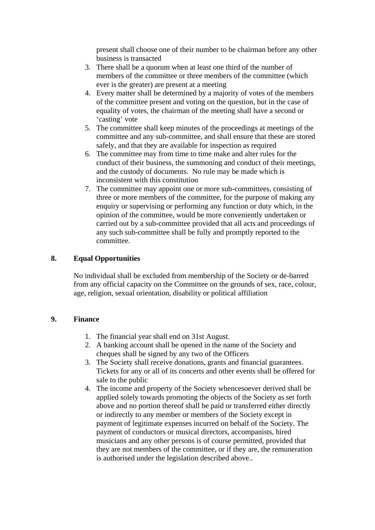present shall choose one of their number to be chairman before any other business is transacted

- 3. There shall be a quorum when at least one third of the number of members of the committee or three members of the committee (which ever is the greater) are present at a meeting
- 4. Every matter shall be determined by a majority of votes of the members of the committee present and voting on the question, but in the case of equality of votes, the chairman of the meeting shall have a second or 'casting' vote
- 5. The committee shall keep minutes of the proceedings at meetings of the committee and any sub-committee, and shall ensure that these are stored safely, and that they are available for inspection as required
- 6. The committee may from time to time make and alter rules for the conduct of their business, the summoning and conduct of their meetings, and the custody of documents. No rule may be made which is inconsistent with this constitution
- 7. The committee may appoint one or more sub-committees, consisting of three or more members of the committee, for the purpose of making any enquiry or supervising or performing any function or duty which, in the opinion of the committee, would be more conveniently undertaken or carried out by a sub-committee provided that all acts and proceedings of any such sub-committee shall be fully and promptly reported to the committee.

## **8. Equal Opportunities**

No individual shall be excluded from membership of the Society or de-barred from any official capacity on the Committee on the grounds of sex, race, colour, age, religion, sexual orientation, disability or political affiliation

#### **9. Finance**

- 1. The financial year shall end on 31st August.
- 2. A banking account shall be opened in the name of the Society and cheques shall be signed by any two of the Officers
- 3. The Society shall receive donations, grants and financial guarantees. Tickets for any or all of its concerts and other events shall be offered for sale to the public
- 4. The income and property of the Society whencesoever derived shall be applied solely towards promoting the objects of the Society as set forth above and no portion thereof shall be paid or transferred either directly or indirectly to any member or members of the Society except in payment of legitimate expenses incurred on behalf of the Society. The payment of conductors or musical directors, accompanists, hired musicians and any other persons is of course permitted, provided that they are not members of the committee, or if they are, the remuneration is authorised under the legislation described above..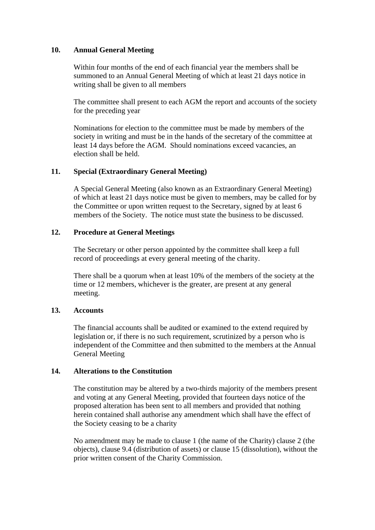#### **10. Annual General Meeting**

Within four months of the end of each financial year the members shall be summoned to an Annual General Meeting of which at least 21 days notice in writing shall be given to all members

The committee shall present to each AGM the report and accounts of the society for the preceding year

Nominations for election to the committee must be made by members of the society in writing and must be in the hands of the secretary of the committee at least 14 days before the AGM. Should nominations exceed vacancies, an election shall be held.

## **11. Special (Extraordinary General Meeting)**

A Special General Meeting (also known as an Extraordinary General Meeting) of which at least 21 days notice must be given to members, may be called for by the Committee or upon written request to the Secretary, signed by at least 6 members of the Society. The notice must state the business to be discussed.

## **12. Procedure at General Meetings**

The Secretary or other person appointed by the committee shall keep a full record of proceedings at every general meeting of the charity.

There shall be a quorum when at least 10% of the members of the society at the time or 12 members, whichever is the greater, are present at any general meeting.

#### **13. Accounts**

The financial accounts shall be audited or examined to the extend required by legislation or, if there is no such requirement, scrutinized by a person who is independent of the Committee and then submitted to the members at the Annual General Meeting

#### **14. Alterations to the Constitution**

The constitution may be altered by a two-thirds majority of the members present and voting at any General Meeting, provided that fourteen days notice of the proposed alteration has been sent to all members and provided that nothing herein contained shall authorise any amendment which shall have the effect of the Society ceasing to be a charity

No amendment may be made to clause 1 (the name of the Charity) clause 2 (the objects), clause 9.4 (distribution of assets) or clause 15 (dissolution), without the prior written consent of the Charity Commission.